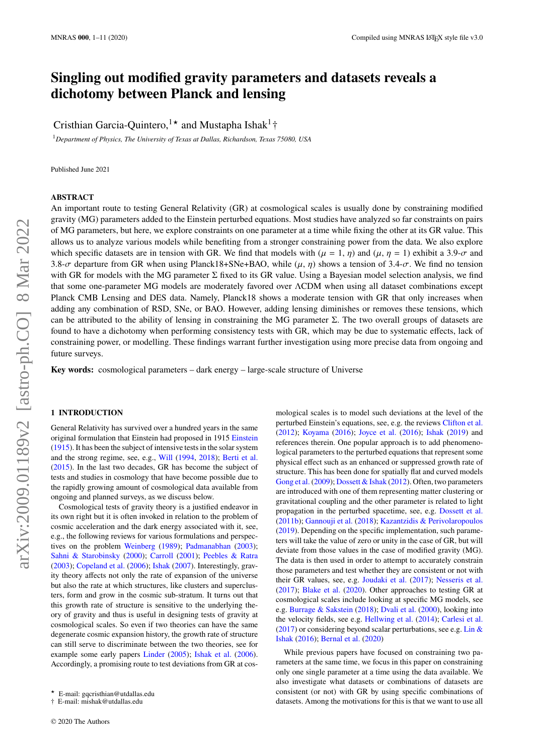# **Singling out modified gravity parameters and datasets reveals a dichotomy between Planck and lensing**

Cristhian Garcia-Quintero,<sup>1★</sup> and Mustapha Ishak<sup>1</sup>†

<sup>1</sup>*Department of Physics, The University of Texas at Dallas, Richardson, Texas 75080, USA*

Published June 2021

#### **ABSTRACT**

An important route to testing General Relativity (GR) at cosmological scales is usually done by constraining modified gravity (MG) parameters added to the Einstein perturbed equations. Most studies have analyzed so far constraints on pairs of MG parameters, but here, we explore constraints on one parameter at a time while fixing the other at its GR value. This allows us to analyze various models while benefiting from a stronger constraining power from the data. We also explore which specific datasets are in tension with GR. We find that models with  $(\mu = 1, \eta)$  and  $(\mu, \eta = 1)$  exhibit a 3.9- $\sigma$  and 3.8- $\sigma$  departure from GR when using Planck18+SNe+BAO, while ( $\mu$ ,  $\eta$ ) shows a tension of 3.4- $\sigma$ . We find no tension with GR for models with the MG parameter Σ fixed to its GR value. Using a Bayesian model selection analysis, we find that some one-parameter MG models are moderately favored over ΛCDM when using all dataset combinations except Planck CMB Lensing and DES data. Namely, Planck18 shows a moderate tension with GR that only increases when adding any combination of RSD, SNe, or BAO. However, adding lensing diminishes or removes these tensions, which can be attributed to the ability of lensing in constraining the MG parameter  $\Sigma$ . The two overall groups of datasets are found to have a dichotomy when performing consistency tests with GR, which may be due to systematic effects, lack of constraining power, or modelling. These findings warrant further investigation using more precise data from ongoing and future surveys.

**Key words:** cosmological parameters – dark energy – large-scale structure of Universe

## <span id="page-0-0"></span>**1 INTRODUCTION**

General Relativity has survived over a hundred years in the same original formulation that Einstein had proposed in 1915 [Einstein](#page-9-0) [\(1915\)](#page-9-0). It has been the subject of intensive tests in the solar system and the strong regime, see, e.g., [Will](#page-9-1) [\(1994,](#page-9-1) [2018\)](#page-9-2); [Berti et al.](#page-9-3) [\(2015\)](#page-9-3). In the last two decades, GR has become the subject of tests and studies in cosmology that have become possible due to the rapidly growing amount of cosmological data available from ongoing and planned surveys, as we discuss below.

Cosmological tests of gravity theory is a justified endeavor in its own right but it is often invoked in relation to the problem of cosmic acceleration and the dark energy associated with it, see, e.g., the following reviews for various formulations and perspectives on the problem [Weinberg](#page-9-4) [\(1989\)](#page-9-4); [Padmanabhan](#page-9-5) [\(2003\)](#page-9-5); [Sahni & Starobinsky](#page-9-6) [\(2000\)](#page-9-6); [Carroll](#page-9-7) [\(2001\)](#page-9-7); [Peebles & Ratra](#page-9-8) [\(2003\)](#page-9-8); [Copeland et al.](#page-9-9) [\(2006\)](#page-9-9); [Ishak](#page-9-10) [\(2007\)](#page-9-10). Interestingly, gravity theory affects not only the rate of expansion of the universe but also the rate at which structures, like clusters and superclusters, form and grow in the cosmic sub-stratum. It turns out that this growth rate of structure is sensitive to the underlying theory of gravity and thus is useful in designing tests of gravity at cosmological scales. So even if two theories can have the same degenerate cosmic expansion history, the growth rate of structure can still serve to discriminate between the two theories, see for example some early papers [Linder](#page-9-11) [\(2005\)](#page-9-11); [Ishak et al.](#page-9-12) [\(2006\)](#page-9-12). Accordingly, a promising route to test deviations from GR at cos-

mological scales is to model such deviations at the level of the perturbed Einstein's equations, see, e.g. the reviews [Clifton et al.](#page-9-13) [\(2012\)](#page-9-13); [Koyama](#page-9-14) [\(2016\)](#page-9-14); [Joyce et al.](#page-9-15) [\(2016\)](#page-9-15); [Ishak](#page-9-16) [\(2019\)](#page-9-16) and references therein. One popular approach is to add phenomenological parameters to the perturbed equations that represent some physical effect such as an enhanced or suppressed growth rate of structure. This has been done for spatially flat and curved models [Gong et al.](#page-9-17) [\(2009\)](#page-9-17); [Dossett & Ishak](#page-9-18) [\(2012\)](#page-9-18). Often, two parameters are introduced with one of them representing matter clustering or gravitational coupling and the other parameter is related to light propagation in the perturbed spacetime, see, e.g. [Dossett et al.](#page-9-19) [\(2011b\)](#page-9-19); [Gannouji et al.](#page-9-20) [\(2018\)](#page-9-20); [Kazantzidis & Perivolaropoulos](#page-9-21) [\(2019\)](#page-9-21). Depending on the specific implementation, such parameters will take the value of zero or unity in the case of GR, but will deviate from those values in the case of modified gravity (MG). The data is then used in order to attempt to accurately constrain those parameters and test whether they are consistent or not with their GR values, see, e.g. [Joudaki et al.](#page-9-22) [\(2017\)](#page-9-22); [Nesseris et al.](#page-9-23) [\(2017\)](#page-9-23); [Blake et al.](#page-9-24) [\(2020\)](#page-9-24). Other approaches to testing GR at cosmological scales include looking at specific MG models, see e.g. [Burrage & Sakstein](#page-9-25) [\(2018\)](#page-9-25); [Dvali et al.](#page-9-26) [\(2000\)](#page-9-26), looking into the velocity fields, see e.g. [Hellwing et al.](#page-9-27) [\(2014\)](#page-9-27); [Carlesi et al.](#page-9-28)  $(2017)$  or considering beyond scalar perturbations, see e.g. [Lin &](#page-9-29) [Ishak](#page-9-29) [\(2016\)](#page-9-29); [Bernal et al.](#page-9-30) [\(2020\)](#page-9-30)

While previous papers have focused on constraining two parameters at the same time, we focus in this paper on constraining only one single parameter at a time using the data available. We also investigate what datasets or combinations of datasets are consistent (or not) with GR by using specific combinations of datasets. Among the motivations for this is that we want to use all

<sup>★</sup> E-mail: gqcristhian@utdallas.edu

<sup>†</sup> E-mail: mishak@utdallas.edu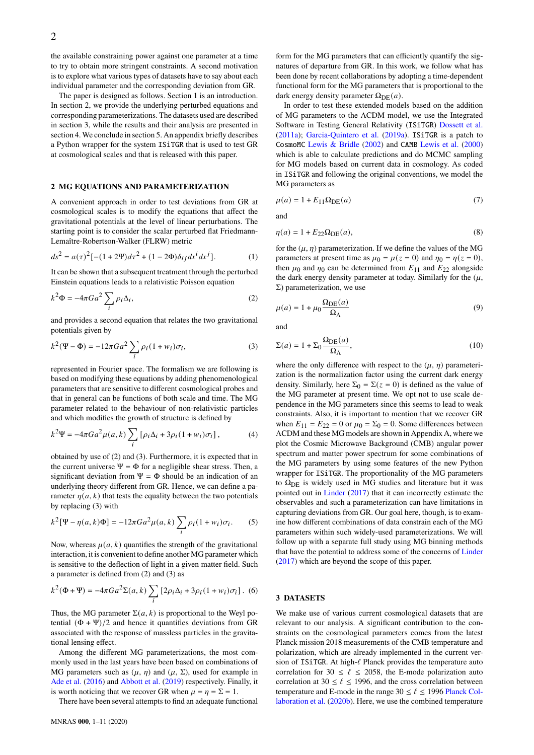the available constraining power against one parameter at a time to try to obtain more stringent constraints. A second motivation is to explore what various types of datasets have to say about each individual parameter and the corresponding deviation from GR.

The paper is designed as follows. Section 1 is an introduction. In section 2, we provide the underlying perturbed equations and corresponding parameterizations. The datasets used are described in section 3, while the results and their analysis are presented in section 4. We conclude in section 5. An appendix briefly describes a Python wrapper for the system ISiTGR that is used to test GR at cosmological scales and that is released with this paper.

#### **2 MG EQUATIONS AND PARAMETERIZATION**

A convenient approach in order to test deviations from GR at cosmological scales is to modify the equations that affect the gravitational potentials at the level of linear perturbations. The starting point is to consider the scalar perturbed flat Friedmann-Lemaître-Robertson-Walker (FLRW) metric

$$
ds^{2} = a(\tau)^{2} [-(1+2\Psi)d\tau^{2} + (1-2\Phi)\delta_{ij}dx^{i}dx^{j}].
$$
 (1)

It can be shown that a subsequent treatment through the perturbed Einstein equations leads to a relativistic Poisson equation

$$
k^2 \Phi = -4\pi G a^2 \sum_{i} \rho_i \Delta_i,
$$
 (2)

<span id="page-1-1"></span>and provides a second equation that relates the two gravitational potentials given by

$$
k^{2}(\Psi - \Phi) = -12\pi Ga^{2} \sum_{i} \rho_{i} (1 + w_{i}) \sigma_{i},
$$
 (3)

represented in Fourier space. The formalism we are following is based on modifying these equations by adding phenomenological parameters that are sensitive to different cosmological probes and that in general can be functions of both scale and time. The MG parameter related to the behaviour of non-relativistic particles and which modifies the growth of structure is defined by

$$
k^{2}\Psi = -4\pi Ga^{2}\mu(a,k)\sum_{i} \left[\rho_{i}\Delta_{i} + 3\rho_{i}(1+w_{i})\sigma_{i}\right],
$$
 (4)

obtained by use of [\(2\)](#page-1-0) and [\(3\)](#page-1-1). Furthermore, it is expected that in the current universe  $\Psi = \Phi$  for a negligible shear stress. Then, a significant deviation from  $\Psi = \Phi$  should be an indication of an underlying theory different from GR. Hence, we can define a parameter  $\eta(a, k)$  that tests the equality between the two potentials by replacing [\(3\)](#page-1-1) with

$$
k^{2}[\Psi - \eta(a, k)\Phi] = -12\pi Ga^{2}\mu(a, k)\sum_{i} \rho_{i}(1 + w_{i})\sigma_{i}.
$$
 (5)

Now, whereas  $\mu(a, k)$  quantifies the strength of the gravitational interaction, it is convenient to define another MG parameter which is sensitive to the deflection of light in a given matter field. Such a parameter is defined from [\(2\)](#page-1-0) and [\(3\)](#page-1-1) as

$$
k^{2}(\Phi + \Psi) = -4\pi Ga^{2}\Sigma(a,k)\sum_{i} [2\rho_{i}\Delta_{i} + 3\rho_{i}(1+w_{i})\sigma_{i}].
$$
 (6)

Thus, the MG parameter  $\Sigma(a, k)$  is proportional to the Weyl potential  $(\Phi + \Psi)/2$  and hence it quantifies deviations from GR associated with the response of massless particles in the gravitational lensing effect.

Among the different MG parameterizations, the most commonly used in the last years have been based on combinations of MG parameters such as  $(\mu, \eta)$  and  $(\mu, \Sigma)$ , used for example in [Ade et al.](#page-9-31) [\(2016\)](#page-9-31) and [Abbott et al.](#page-9-32) [\(2019\)](#page-9-32) respectively. Finally, it is worth noticing that we recover GR when  $\mu = \eta = \Sigma = 1$ .

There have been several attempts to find an adequate functional

form for the MG parameters that can efficiently quantify the signatures of departure from GR. In this work, we follow what has been done by recent collaborations by adopting a time-dependent functional form for the MG parameters that is proportional to the dark energy density parameter  $\Omega_{\text{DE}}(a)$ .

In order to test these extended models based on the addition of MG parameters to the ΛCDM model, we use the Integrated Software in Testing General Relativity (ISiTGR) [Dossett et al.](#page-9-33) [\(2011a\)](#page-9-33); [Garcia-Quintero et al.](#page-9-34) [\(2019a\)](#page-9-34). ISiTGR is a patch to CosmoMC [Lewis & Bridle](#page-9-35) [\(2002\)](#page-9-35) and CAMB [Lewis et al.](#page-9-36) [\(2000\)](#page-9-36) which is able to calculate predictions and do MCMC sampling for MG models based on current data in cosmology. As coded in ISiTGR and following the original conventions, we model the MG parameters as

<span id="page-1-2"></span>
$$
\mu(a) = 1 + E_{11} \Omega_{\rm DE}(a) \tag{7}
$$

<span id="page-1-4"></span>and

$$
\eta(a) = 1 + E_{22} \Omega_{\rm DE}(a),\tag{8}
$$

for the  $(\mu, \eta)$  parameterization. If we define the values of the MG parameters at present time as  $\mu_0 = \mu(z = 0)$  and  $\eta_0 = \eta(z = 0)$ , then  $\mu_0$  and  $\eta_0$  can be determined from  $E_{11}$  and  $E_{22}$  alongside the dark energy density parameter at today. Similarly for the  $(\mu,$ Σ) parameterization, we use

<span id="page-1-5"></span><span id="page-1-0"></span>
$$
\mu(a) = 1 + \mu_0 \frac{\Omega_{\text{DE}}(a)}{\Omega_{\Lambda}} \tag{9}
$$

<span id="page-1-3"></span>and

$$
\Sigma(a) = 1 + \Sigma_0 \frac{\Omega_{\text{DE}}(a)}{\Omega_{\Lambda}},\tag{10}
$$

where the only difference with respect to the  $(\mu, \eta)$  parameterization is the normalization factor using the current dark energy density. Similarly, here  $\Sigma_0 = \Sigma(z = 0)$  is defined as the value of the MG parameter at present time. We opt not to use scale dependence in the MG parameters since this seems to lead to weak constraints. Also, it is important to mention that we recover GR when  $E_{11} = E_{22} = 0$  or  $\mu_0 = \Sigma_0 = 0$ . Some differences between ΛCDM and these MG models are shown in Appendix [A,](#page-9-37) where we plot the Cosmic Microwave Background (CMB) angular power spectrum and matter power spectrum for some combinations of the MG parameters by using some features of the new Python wrapper for ISiTGR. The proportionality of the MG parameters to  $\Omega_{\rm DE}$  is widely used in MG studies and literature but it was pointed out in [Linder](#page-9-38) [\(2017\)](#page-9-38) that it can incorrectly estimate the observables and such a parameterization can have limitations in capturing deviations from GR. Our goal here, though, is to examine how different combinations of data constrain each of the MG parameters within such widely-used parameterizations. We will follow up with a separate full study using MG binning methods that have the potential to address some of the concerns of [Linder](#page-9-38) [\(2017\)](#page-9-38) which are beyond the scope of this paper.

## **3 DATASETS**

We make use of various current cosmological datasets that are relevant to our analysis. A significant contribution to the constraints on the cosmological parameters comes from the latest Planck mission 2018 measurements of the CMB temperature and polarization, which are already implemented in the current version of ISiTGR. At high-ℓ Planck provides the temperature auto correlation for 30  $\leq \ell \leq 2058$ , the E-mode polarization auto correlation at 30  $\leq \ell \leq$  1996, and the cross correlation between temperature and E-mode in the range  $30 \le \ell \le 1996$  [Planck Col](#page-9-39)[laboration et al.](#page-9-39) [\(2020b\)](#page-9-39). Here, we use the combined temperature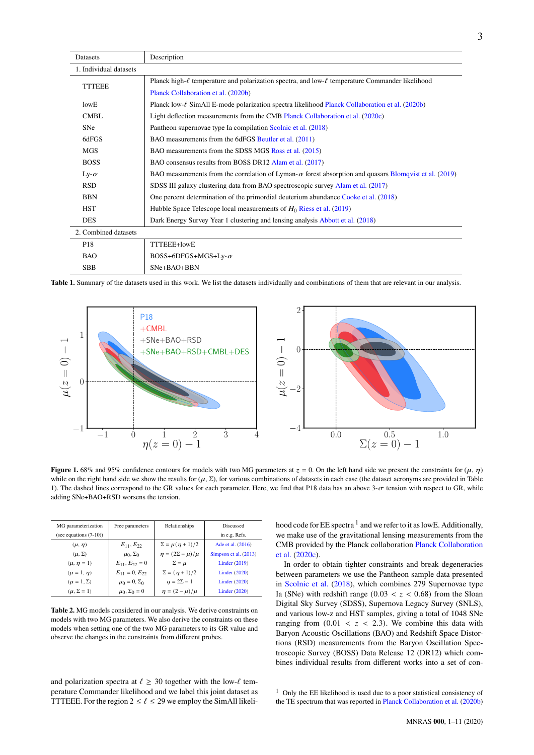<span id="page-2-0"></span>

| Datasets               | Description                                                                                                    |  |  |  |  |  |  |
|------------------------|----------------------------------------------------------------------------------------------------------------|--|--|--|--|--|--|
| 1. Individual datasets |                                                                                                                |  |  |  |  |  |  |
| <b>TTTEEE</b>          | Planck high- $\ell$ temperature and polarization spectra, and low- $\ell$ temperature Commander likelihood     |  |  |  |  |  |  |
|                        | Planck Collaboration et al. (2020b)                                                                            |  |  |  |  |  |  |
| lowE                   | Planck low- $\ell$ SimAll E-mode polarization spectra likelihood Planck Collaboration et al. (2020b)           |  |  |  |  |  |  |
| <b>CMBL</b>            | Light deflection measurements from the CMB Planck Collaboration et al. (2020c)                                 |  |  |  |  |  |  |
| <b>SNe</b>             | Pantheon supernovae type Ia compilation Scolnic et al. (2018)                                                  |  |  |  |  |  |  |
| 6dFGS                  | BAO measurements from the 6dFGS Beutler et al. (2011)                                                          |  |  |  |  |  |  |
| MGS                    | BAO measurements from the SDSS MGS Ross et al. (2015)                                                          |  |  |  |  |  |  |
| <b>BOSS</b>            | BAO consensus results from BOSS DR12 Alam et al. (2017)                                                        |  |  |  |  |  |  |
| Ly- $\alpha$           | BAO measurements from the correlation of Lyman- $\alpha$ forest absorption and quasars Blomqvist et al. (2019) |  |  |  |  |  |  |
| <b>RSD</b>             | SDSS III galaxy clustering data from BAO spectroscopic survey Alam et al. (2017)                               |  |  |  |  |  |  |
| <b>BBN</b>             | One percent determination of the primordial deuterium abundance Cooke et al. (2018)                            |  |  |  |  |  |  |
| <b>HST</b>             | Hubble Space Telescope local measurements of $H_0$ Riess et al. (2019)                                         |  |  |  |  |  |  |
| <b>DES</b>             | Dark Energy Survey Year 1 clustering and lensing analysis Abbott et al. (2018)                                 |  |  |  |  |  |  |
| 2. Combined datasets   |                                                                                                                |  |  |  |  |  |  |
| P <sub>18</sub>        | TTTEEE+lowE                                                                                                    |  |  |  |  |  |  |
| <b>BAO</b>             | BOSS+6DFGS+MGS+Ly- $\alpha$                                                                                    |  |  |  |  |  |  |
| <b>SBB</b>             | SNe+BAO+BBN                                                                                                    |  |  |  |  |  |  |

**Table 1.** Summary of the datasets used in this work. We list the datasets individually and combinations of them that are relevant in our analysis.



**Figure 1.** 68% and 95% confidence contours for models with two MG parameters at  $z = 0$ . On the left hand side we present the constraints for  $(\mu, \eta)$ while on the right hand side we show the results for  $(\mu, \Sigma)$ , for various combinations of datasets in each case (the dataset acronyms are provided in Table [1\)](#page-2-0). The dashed lines correspond to the GR values for each parameter. Here, we find that P18 data has an above  $3-\sigma$  tension with respect to GR, while adding SNe+BAO+RSD worsens the tension.

| MG parameterization       | Free parameters          | Relationships                | <b>Discussed</b>      |
|---------------------------|--------------------------|------------------------------|-----------------------|
| (see equations $(7-10)$ ) |                          |                              | in e.g. Refs.         |
| $(\mu, \eta)$             | $E_{11}, E_{22}$         | $\Sigma = \mu(\eta + 1)/2$   | Ade et al. (2016)     |
| $(\mu, \Sigma)$           | $\mu_0$ , $\Sigma_0$     | $\eta = (2\Sigma - \mu)/\mu$ | Simpson et al. (2013) |
| $(\mu, \eta = 1)$         | $E_{11}, E_{22} = 0$     | $\Sigma = \mu$               | Linder (2019)         |
| $(\mu = 1, \eta)$         | $E_{11} = 0, E_{22}$     | $\Sigma = (\eta + 1)/2$      | Linder $(2020)$       |
| $(\mu = 1, \Sigma)$       | $\mu_0 = 0$ , $\Sigma_0$ | $\eta = 2\Sigma - 1$         | Linder $(2020)$       |
| $(\mu, \Sigma = 1)$       | $\mu_0$ , $\Sigma_0 = 0$ | $\eta = (2 - \mu)/\mu$       | Linder $(2020)$       |

<span id="page-2-2"></span>**Table 2.** MG models considered in our analysis. We derive constraints on models with two MG parameters. We also derive the constraints on these models when setting one of the two MG parameters to its GR value and observe the changes in the constraints from different probes.

and polarization spectra at  $\ell \geq 30$  together with the low- $\ell$  temperature Commander likelihood and we label this joint dataset as TTTEEE. For the region  $2 \le \ell \le 29$  we employ the SimAll likeli-

<span id="page-2-3"></span>hood code for  $EE$  spectra  $^1$  $^1$  and we refer to it as lowE. Additionally, we make use of the gravitational lensing measurements from the CMB provided by the Planck collaboration [Planck Collaboration](#page-9-40) [et al.](#page-9-40) [\(2020c\)](#page-9-40).

In order to obtain tighter constraints and break degeneracies between parameters we use the Pantheon sample data presented in [Scolnic et al.](#page-9-41) [\(2018\)](#page-9-41), which combines 279 Supernovae type Ia (SNe) with redshift range  $(0.03 < z < 0.68)$  from the Sloan Digital Sky Survey (SDSS), Supernova Legacy Survey (SNLS), and various low-z and HST samples, giving a total of 1048 SNe ranging from  $(0.01 < z < 2.3)$ . We combine this data with Baryon Acoustic Oscillations (BAO) and Redshift Space Distortions (RSD) measurements from the Baryon Oscillation Spectroscopic Survey (BOSS) Data Release 12 (DR12) which combines individual results from different works into a set of con-

<span id="page-2-1"></span> $1$  Only the EE likelihood is used due to a poor statistical consistency of the TE spectrum that was reported in [Planck Collaboration et al.](#page-9-39) [\(2020b\)](#page-9-39)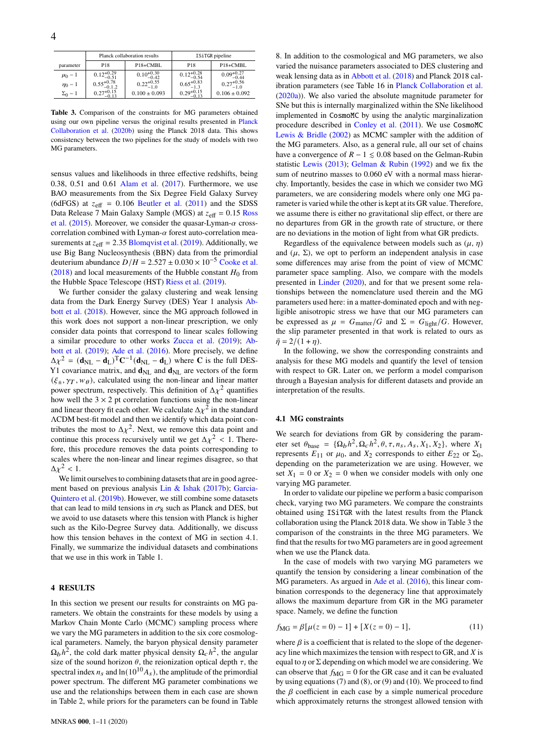|                |                         | Planck collaboration results | ISiTGR pipeline        |                                   |  |  |  |
|----------------|-------------------------|------------------------------|------------------------|-----------------------------------|--|--|--|
| parameter      | P <sub>18</sub>         | P18+CMBL                     | P18                    | P <sub>18+</sub> CM <sub>BL</sub> |  |  |  |
| $\mu_0 - 1$    | $0.12_{-0.51}^{+0.29}$  | $0.10_{-0.42}^{+0.30}$       | $0.12_{-0.54}^{+0.28}$ | $0.09_{-0.44}^{+0.27}$            |  |  |  |
| $\eta_0 - 1$   | $0.55_{-0.1.2}^{+0.78}$ | $0.22_{-1.0}^{+0.55}$        | $0.65_{-1.3}^{+0.83}$  | $0.27^{+0.56}_{-1.0}$             |  |  |  |
| $\Sigma_0 - 1$ | $0.27^{+0.15}_{-0.13}$  | $0.100 \pm 0.093$            | $0.29_{-0.13}^{+0.15}$ | $0.106 \pm 0.092$                 |  |  |  |

<span id="page-3-0"></span>**Table 3.** Comparison of the constraints for MG parameters obtained using our own pipeline versus the original results presented in [Planck](#page-9-39) [Collaboration et al.](#page-9-39) [\(2020b\)](#page-9-39) using the Planck 2018 data. This shows consistency between the two pipelines for the study of models with two MG parameters.

sensus values and likelihoods in three effective redshifts, being 0.38, 0.51 and 0.61 [Alam et al.](#page-9-44) [\(2017\)](#page-9-44). Furthermore, we use BAO measurements from the Six Degree Field Galaxy Survey (6dFGS) at  $z_{\text{eff}} = 0.106$  [Beutler et al.](#page-9-42) [\(2011\)](#page-9-42) and the SDSS Data Release 7 Main Galaxy Sample (MGS) at  $z_{\text{eff}} = 0.15$  [Ross](#page-9-43) [et al.](#page-9-43) [\(2015\)](#page-9-43). Moreover, we consider the quasar-Lyman- $\alpha$  crosscorrelation combined with Lyman- $\alpha$  forest auto-correlation measurements at  $z_{\text{eff}} = 2.35$  [Blomqvist et al.](#page-9-45) [\(2019\)](#page-9-45). Additionally, we use Big Bang Nucleosynthesis (BBN) data from the primordial deuterium abundance  $D/H = 2.527 \pm 0.030 \times 10^{-5}$  [Cooke et al.](#page-9-46) [\(2018\)](#page-9-46) and local measurements of the Hubble constant  $H_0$  from the Hubble Space Telescope (HST) [Riess et al.](#page-9-47) [\(2019\)](#page-9-47).

We further consider the galaxy clustering and weak lensing data from the Dark Energy Survey (DES) Year 1 analysis [Ab](#page-9-48)[bott et al.](#page-9-48) [\(2018\)](#page-9-48). However, since the MG approach followed in this work does not support a non-linear prescription, we only consider data points that correspond to linear scales following a similar procedure to other works [Zucca et al.](#page-9-52) [\(2019\)](#page-9-52); [Ab](#page-9-32)[bott et al.](#page-9-32) [\(2019\)](#page-9-32); [Ade et al.](#page-9-31) [\(2016\)](#page-9-31). More precisely, we define  $\Delta \chi^2 = (\mathbf{d}_{\text{NL}} - \mathbf{d}_{\text{L}})^T \mathbf{C}^{-1} (\mathbf{d}_{\text{NL}} - \mathbf{d}_{\text{L}})$  where **C** is the full DES-Y1 covariance matrix, and  $\mathbf{d}_{\text{NL}}$  and  $\mathbf{d}_{\text{NL}}$  are vectors of the form  $(\xi_{\pm}, \gamma_T, w_\theta)$ , calculated using the non-linear and linear matter power spectrum, respectively. This definition of  $\Delta \chi^2$  quantifies how well the  $3 \times 2$  pt correlation functions using the non-linear and linear theory fit each other. We calculate  $\Delta \chi^2$  in the standard ΛCDM best-fit model and then we identify which data point contributes the most to  $\Delta \chi^2$ . Next, we remove this data point and continue this process recursively until we get  $\Delta \chi^2 < 1$ . Therefore, this procedure removes the data points corresponding to scales where the non-linear and linear regimes disagree, so that  $\Delta \chi^2$  < 1.

We limit ourselves to combining datasets that are in good agreement based on previous analysis [Lin & Ishak](#page-9-53) [\(2017b\)](#page-9-53); [Garcia-](#page-9-54)[Quintero et al.](#page-9-54) [\(2019b\)](#page-9-54). However, we still combine some datasets that can lead to mild tensions in  $\sigma_8$  such as Planck and DES, but we avoid to use datasets where this tension with Planck is higher such as the Kilo-Degree Survey data. Additionally, we discuss how this tension behaves in the context of MG in section 4.1. Finally, we summarize the individual datasets and combinations that we use in this work in Table [1.](#page-2-0)

#### **4 RESULTS**

In this section we present our results for constraints on MG parameters. We obtain the constraints for these models by using a Markov Chain Monte Carlo (MCMC) sampling process where we vary the MG parameters in addition to the six core cosmological parameters. Namely, the baryon physical density parameter  $\Omega_b h^2$ , the cold dark matter physical density  $\Omega_c h^2$ , the angular size of the sound horizon  $\theta$ , the reionization optical depth  $\tau$ , the spectral index  $n_s$  and  $\ln(10^{10}A_s)$ , the amplitude of the primordial power spectrum. The different MG parameter combinations we use and the relationships between them in each case are shown in Table [2,](#page-2-2) while priors for the parameters can be found in Table

[8.](#page-7-0) In addition to the cosmological and MG parameters, we also varied the nuisance parameters associated to DES clustering and weak lensing data as in [Abbott et al.](#page-9-48) [\(2018\)](#page-9-48) and Planck 2018 calibration parameters (see Table 16 in [Planck Collaboration et al.](#page-9-55) [\(2020a\)](#page-9-55)). We also varied the absolute magnitude parameter for SNe but this is internally marginalized within the SNe likelihood implemented in CosmoMC by using the analytic marginalization procedure described in [Conley et al.](#page-9-56) [\(2011\)](#page-9-56). We use CosmoMC [Lewis & Bridle](#page-9-35) [\(2002\)](#page-9-35) as MCMC sampler with the addition of the MG parameters. Also, as a general rule, all our set of chains have a convergence of  $R - 1 \le 0.08$  based on the Gelman-Rubin statistic [Lewis](#page-9-57) [\(2013\)](#page-9-57); [Gelman & Rubin](#page-9-58) [\(1992\)](#page-9-58) and we fix the sum of neutrino masses to 0.060 eV with a normal mass hierarchy. Importantly, besides the case in which we consider two MG parameters, we are considering models where only one MG parameter is varied while the other is kept at its GR value. Therefore, we assume there is either no gravitational slip effect, or there are no departures from GR in the growth rate of structure, or there are no deviations in the motion of light from what GR predicts.

Regardless of the equivalence between models such as  $(\mu, \eta)$ and  $(\mu, \Sigma)$ , we opt to perform an independent analysis in case some differences may arise from the point of view of MCMC parameter space sampling. Also, we compare with the models presented in [Linder](#page-9-51) [\(2020\)](#page-9-51), and for that we present some relationships between the nomenclature used therein and the MG parameters used here: in a matter-dominated epoch and with negligible anisotropic stress we have that our MG parameters can be expressed as  $\mu = G_{\text{matter}}/G$  and  $\Sigma = G_{\text{light}}/G$ . However, the slip parameter presented in that work is related to ours as  $\bar{\eta} = 2/(1 + \eta).$ 

In the following, we show the corresponding constraints and analysis for these MG models and quantify the level of tension with respect to GR. Later on, we perform a model comparison through a Bayesian analysis for different datasets and provide an interpretation of the results.

## **4.1 MG constraints**

We search for deviations from GR by considering the parameter set  $\theta_{base} = {\Omega_b h^2, \Omega_c h^2, \theta, \tau, n_s, A_s, X_1, X_2},$  where  $X_1$ represents  $E_{11}$  or  $\mu_0$ , and  $X_2$  corresponds to either  $E_{22}$  or  $\Sigma_0$ , depending on the parameterization we are using. However, we set  $X_1 = 0$  or  $X_2 = 0$  when we consider models with only one varying MG parameter.

In order to validate our pipeline we perform a basic comparison check, varying two MG parameters. We compare the constraints obtained using ISiTGR with the latest results from the Planck collaboration using the Planck 2018 data. We show in Table [3](#page-3-0) the comparison of the constraints in the three MG parameters. We find that the results for two MG parameters are in good agreement when we use the Planck data.

In the case of models with two varying MG parameters we quantify the tension by considering a linear combination of the MG parameters. As argued in [Ade et al.](#page-9-31) [\(2016\)](#page-9-31), this linear combination corresponds to the degeneracy line that approximately allows the maximum departure from GR in the MG parameter space. Namely, we define the function

<span id="page-3-1"></span>
$$
f_{\text{MG}} = \beta [\mu(z = 0) - 1] + [X(z = 0) - 1], \tag{11}
$$

where  $\beta$  is a coefficient that is related to the slope of the degeneracy line which maximizes the tension with respect to GR, and  $X$  is equal to  $\eta$  or  $\Sigma$  depending on which model we are considering. We can observe that  $f_{\text{MG}} = 0$  for the GR case and it can be evaluated by using equations [\(7\)](#page-1-2) and [\(8\)](#page-1-4), or [\(9\)](#page-1-5) and [\(10\)](#page-1-3). We proceed to find the  $\beta$  coefficient in each case by a simple numerical procedure which approximately returns the strongest allowed tension with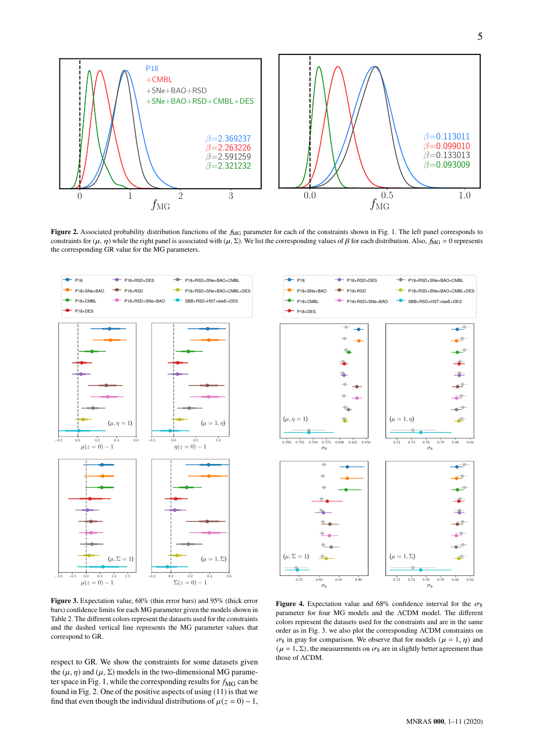

**Figure 2.** Associated probability distribution functions of the  $f_{MG}$  parameter for each of the constraints shown in Fig. [1.](#page-2-3) The left panel corresponds to constraints for  $(\mu, \eta)$  while the right panel is associated with  $(\mu, \Sigma)$ . We list the corresponding values of  $\beta$  for each distribution. Also,  $f_{\text{MG}} = 0$  represents the corresponding GR value for the MG parameters.



<span id="page-4-0"></span>

**Figure 3.** Expectation value, 68% (thin error bars) and 95% (thick error bars) confidence limits for each MG parameter given the models shown in Table [2.](#page-2-2) The different colors represent the datasets used for the constraints and the dashed vertical line represents the MG parameter values that correspond to GR.

respect to GR. We show the constraints for some datasets given the  $(\mu, \eta)$  and  $(\mu, \Sigma)$  models in the two-dimensional MG parame-ter space in Fig. [1,](#page-2-3) while the corresponding results for  $f_{\text{MG}}$  can be found in Fig. [2.](#page-4-0) One of the positive aspects of using [\(11\)](#page-3-1) is that we find that even though the individual distributions of  $\mu(z = 0) - 1$ ,

<span id="page-4-1"></span>**Figure 4.** Expectation value and 68% confidence interval for the  $\sigma_8$ parameter for four MG models and the ΛCDM model. The different colors represent the datasets used for the constraints and are in the same order as in Fig. [3.](#page-4-1) we also plot the corresponding ΛCDM constraints on  $\sigma_8$  in gray for comparison. We observe that for models ( $\mu = 1, \eta$ ) and  $(\mu = 1, \Sigma)$ , the measurements on  $\sigma_8$  are in slightly better agreement than those of ΛCDM.

<span id="page-4-2"></span>MNRAS **000**, [1](#page-0-0)[–11](#page-10-0) (2020)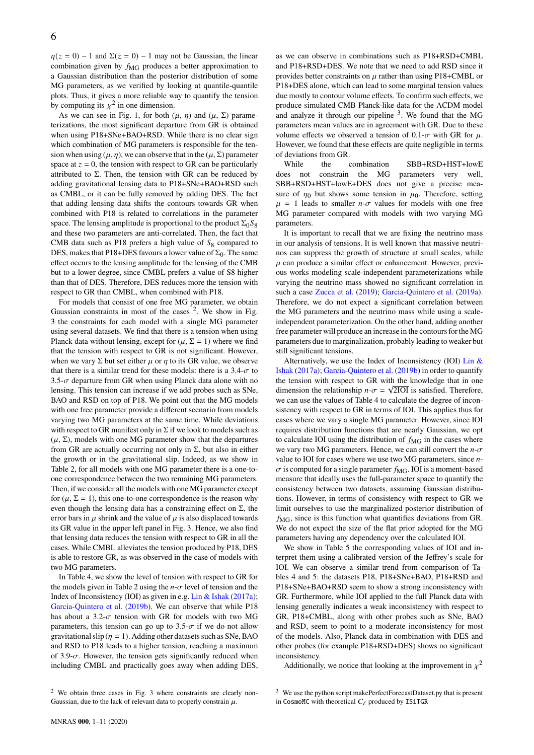$\eta(z = 0) - 1$  and  $\Sigma(z = 0) - 1$  may not be Gaussian, the linear combination given by  $f_{\text{MG}}$  produces a better approximation to a Gaussian distribution than the posterior distribution of some MG parameters, as we verified by looking at quantile-quantile plots. Thus, it gives a more reliable way to quantify the tension by computing its  $\chi^2$  in one dimension.

As we can see in Fig. [1,](#page-2-3) for both  $(\mu, \eta)$  and  $(\mu, \Sigma)$  parameterizations, the most significant departure from GR is obtained when using P18+SNe+BAO+RSD. While there is no clear sign which combination of MG parameters is responsible for the tension when using  $(\mu, \eta)$ , we can observe that in the  $(\mu, \Sigma)$  parameter space at  $z = 0$ , the tension with respect to GR can be particularly attributed to Σ. Then, the tension with GR can be reduced by adding gravitational lensing data to P18+SNe+BAO+RSD such as CMBL, or it can be fully removed by adding DES. The fact that adding lensing data shifts the contours towards GR when combined with P18 is related to correlations in the parameter space. The lensing amplitude is proportional to the product  $\Sigma_0 S_8$ and these two parameters are anti-correlated. Then, the fact that CMB data such as P18 prefers a high value of  $S_8$  compared to DES, makes that P18+DES favours a lower value of  $\Sigma_0$ . The same effect occurs to the lensing amplitude for the lensing of the CMB but to a lower degree, since CMBL prefers a value of S8 higher than that of DES. Therefore, DES reduces more the tension with respect to GR than CMBL, when combined with P18.

For models that consist of one free MG parameter, we obtain Gaussian constraints in most of the cases  $2$ . We show in Fig. [3](#page-4-1) the constraints for each model with a single MG parameter using several datasets. We find that there is a tension when using Planck data without lensing, except for  $(\mu, \Sigma = 1)$  where we find that the tension with respect to GR is not significant. However, when we vary  $\Sigma$  but set either  $\mu$  or  $\eta$  to its GR value, we observe that there is a similar trend for these models: there is a  $3.4-\sigma$  to 3.5- $\sigma$  departure from GR when using Planck data alone with no lensing. This tension can increase if we add probes such as SNe, BAO and RSD on top of P18. We point out that the MG models with one free parameter provide a different scenario from models varying two MG parameters at the same time. While deviations with respect to GR manifest only in  $\Sigma$  if we look to models such as  $(\mu, \Sigma)$ , models with one MG parameter show that the departures from GR are actually occurring not only in  $\Sigma$ , but also in either the growth or in the gravitational slip. Indeed, as we show in Table [2,](#page-2-2) for all models with one MG parameter there is a one-toone correspondence between the two remaining MG parameters. Then, if we consider all the models with one MG parameter except for ( $\mu$ ,  $\Sigma = 1$ ), this one-to-one correspondence is the reason why even though the lensing data has a constraining effect on  $\Sigma$ , the error bars in  $\mu$  shrink and the value of  $\mu$  is also displaced towards its GR value in the upper left panel in Fig. [3.](#page-4-1) Hence, we also find that lensing data reduces the tension with respect to GR in all the cases. While CMBL alleviates the tension produced by P18, DES is able to restore GR, as was observed in the case of models with two MG parameters.

In Table [4,](#page-6-0) we show the level of tension with respect to GR for the models given in Table [2](#page-2-2) using the  $n-\sigma$  level of tension and the Index of Inconsistency (IOI) as given in e.g. [Lin & Ishak](#page-9-59) [\(2017a\)](#page-9-59); [Garcia-Quintero et al.](#page-9-54) [\(2019b\)](#page-9-54). We can observe that while P18 has about a 3.2- $\sigma$  tension with GR for models with two MG parameters, this tension can go up to 3.5- $\sigma$  if we do not allow gravitational slip ( $\eta = 1$ ). Adding other datasets such as SNe, BAO and RSD to P18 leads to a higher tension, reaching a maximum of 3.9- $\sigma$ . However, the tension gets significantly reduced when including CMBL and practically goes away when adding DES, as we can observe in combinations such as P18+RSD+CMBL and P18+RSD+DES. We note that we need to add RSD since it provides better constraints on  $\mu$  rather than using P18+CMBL or P18+DES alone, which can lead to some marginal tension values due mostly to contour volume effects. To confirm such effects, we produce simulated CMB Planck-like data for the ΛCDM model and analyze it through our pipeline  $3$ . We found that the MG parameters mean values are in agreement with GR. Due to these volume effects we observed a tension of 0.1- $\sigma$  with GR for  $\mu$ . However, we found that these effects are quite negligible in terms of deviations from GR.

While the combination SBB+RSD+HST+lowE does not constrain the MG parameters very well, SBB+RSD+HST+lowE+DES does not give a precise measure of  $\eta_0$  but shows some tension in  $\mu_0$ . Therefore, setting  $\mu$  = 1 leads to smaller *n*- $\sigma$  values for models with one free MG parameter compared with models with two varying MG parameters.

It is important to recall that we are fixing the neutrino mass in our analysis of tensions. It is well known that massive neutrinos can suppress the growth of structure at small scales, while  $\mu$  can produce a similar effect or enhancement. However, previous works modeling scale-independent parameterizations while varying the neutrino mass showed no significant correlation in such a case [Zucca et al.](#page-9-52) [\(2019\)](#page-9-52); [Garcia-Quintero et al.](#page-9-34) [\(2019a\)](#page-9-34). Therefore, we do not expect a significant correlation between the MG parameters and the neutrino mass while using a scaleindependent parameterization. On the other hand, adding another free parameter will produce an increase in the contours for the MG parameters due to marginalization, probably leading to weaker but still significant tensions.

Alternatively, we use the Index of Inconsistency (IOI) Lin  $\&$ [Ishak](#page-9-59) [\(2017a\)](#page-9-59); [Garcia-Quintero et al.](#page-9-54) [\(2019b\)](#page-9-54) in order to quantify the tension with respect to GR with the knowledge that in one dimension the relationship  $n-\sigma = \sqrt{2IO}$  is satisfied. Therefore, we can use the values of Table [4](#page-6-0) to calculate the degree of inconsistency with respect to GR in terms of IOI. This applies thus for cases where we vary a single MG parameter. However, since IOI requires distribution functions that are nearly Gaussian, we opt to calculate IOI using the distribution of  $f_{\text{MG}}$  in the cases where we vary two MG parameters. Hence, we can still convert the  $n-\sigma$ value to IOI for cases where we use two MG parameters, since  $n \sigma$  is computed for a single parameter  $f_{\text{MG}}$ . IOI is a moment-based measure that ideally uses the full-parameter space to quantify the consistency between two datasets, assuming Gaussian distributions. However, in terms of consistency with respect to GR we limit ourselves to use the marginalized posterior distribution of  $f_{\text{MG}}$ , since is this function what quantifies deviations from GR. We do not expect the size of the flat prior adopted for the MG parameters having any dependency over the calculated IOI.

We show in Table [5](#page-6-1) the corresponding values of IOI and interpret them using a calibrated version of the Jeffrey's scale for IOI. We can observe a similar trend from comparison of Tables [4](#page-6-0) and [5:](#page-6-1) the datasets P18, P18+SNe+BAO, P18+RSD and P18+SNe+BAO+RSD seem to show a strong inconsistency with GR. Furthermore, while IOI applied to the full Planck data with lensing generally indicates a weak inconsistency with respect to GR, P18+CMBL, along with other probes such as SNe, BAO and RSD, seem to point to a moderate inconsistency for most of the models. Also, Planck data in combination with DES and other probes (for example P18+RSD+DES) shows no significant inconsistency.

Additionally, we notice that looking at the improvement in  $\chi^2$ 

<span id="page-5-0"></span><sup>2</sup> We obtain three cases in Fig. [3](#page-4-1) where constraints are clearly non-Gaussian, due to the lack of relevant data to properly constrain  $\mu$ .

<span id="page-5-1"></span><sup>&</sup>lt;sup>3</sup> We use the python script makePerfectForecastDataset.py that is present in CosmoMC with theoretical  $C_{\ell}$  produced by ISiTGR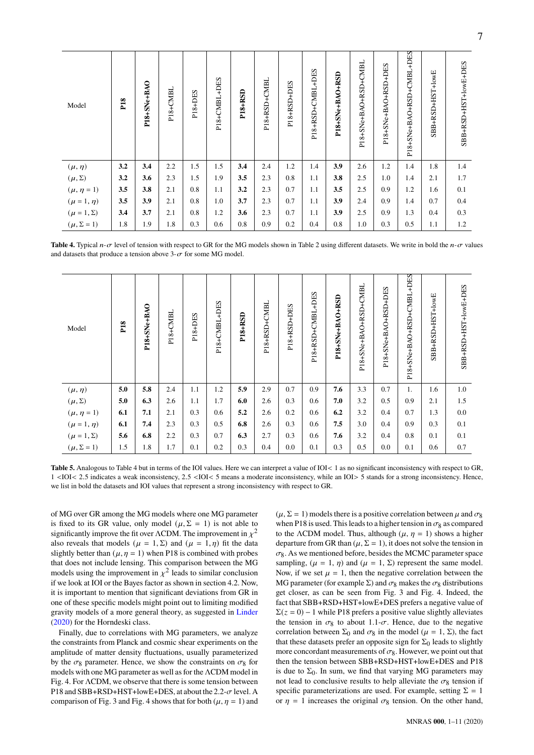| Model               | P <sub>18</sub> | P18+SNe+BAO | P18+CMBL | P18+DES | P18+CMBL+DES | <b>P18+RSD</b> | P18+RSD+CMBL | P18+RSD+DES | P18+RSD+CMBL+DES | P18+SNe+BAO+RSD | P18+SNe+BAO+RSD+CMBL | P18+SNe+BAO+RSD+DES | P18+SNe+BAO+RSD+CMBL+DES | SBB+RSD+HST+IowE | SBB+RSD+HST+IowE+DES |
|---------------------|-----------------|-------------|----------|---------|--------------|----------------|--------------|-------------|------------------|-----------------|----------------------|---------------------|--------------------------|------------------|----------------------|
| $(\mu, \eta)$       | 3.2             | 3.4         | 2.2      | 1.5     | 1.5          | 3.4            | 2.4          | 1.2         | 1.4              | 3.9             | 2.6                  | 1.2                 | 1.4                      | 1.8              | 1.4                  |
| $(\mu, \Sigma)$     | 3.2             | 3.6         | 2.3      | 1.5     | 1.9          | 3.5            | 2.3          | 0.8         | 1.1              | 3.8             | 2.5                  | 1.0                 | 1.4                      | 2.1              | 1.7                  |
| $(\mu, \eta = 1)$   | 3.5             | 3.8         | 2.1      | 0.8     | 1.1          | 3.2            | 2.3          | 0.7         | 1.1              | 3.5             | 2.5                  | 0.9                 | 1.2                      | 1.6              | 0.1                  |
| $(\mu = 1, \eta)$   | 3.5             | 3.9         | 2.1      | 0.8     | 1.0          | 3.7            | 2.3          | 0.7         | 1.1              | 3.9             | 2.4                  | 0.9                 | 1.4                      | 0.7              | 0.4                  |
| $(\mu = 1, \Sigma)$ | 3.4             | 3.7         | 2.1      | 0.8     | 1.2          | 3.6            | 2.3          | 0.7         | 1.1              | 3.9             | 2.5                  | 0.9                 | 1.3                      | 0.4              | 0.3                  |
| $(\mu, \Sigma = 1)$ | 1.8             | 1.9         | 1.8      | 0.3     | 0.6          | 0.8            | 0.9          | 0.2         | 0.4              | 0.8             | 1.0                  | 0.3                 | 0.5                      | 1.1              | 1.2                  |

<span id="page-6-0"></span>**Table 4.** Typical  $n-\sigma$  level of tension with respect to GR for the MG models shown in Table [2](#page-2-2) using different datasets. We write in bold the  $n-\sigma$  values and datasets that produce a tension above  $3-\sigma$  for some MG model.

| Model               | P <sub>18</sub> | P18+SNe+BAO | P18+CMBL | P18+DES | P18+CMBL+DES | <b>P18+RSD</b> | P18+RSD+CMBL | P18+RSD+DES | P18+RSD+CMBL+DES | P18+SNe+BAO+RSD | P18+SNe+BAO+RSD+CMBL | P18+SNe+BAO+RSD+DES | P18+SNe+BAO+RSD+CMBL+DES | SBB+RSD+HST+IowE | SBB+RSD+HST+lowE+DES |
|---------------------|-----------------|-------------|----------|---------|--------------|----------------|--------------|-------------|------------------|-----------------|----------------------|---------------------|--------------------------|------------------|----------------------|
| $(\mu, \eta)$       | 5.0             | 5.8         | 2.4      | 1.1     | 1.2          | 5.9            | 2.9          | 0.7         | 0.9              | 7.6             | 3.3                  | 0.7                 | 1.                       | 1.6              | 1.0                  |
| $(\mu, \Sigma)$     | 5.0             | 6.3         | 2.6      | 1.1     | 1.7          | 6.0            | 2.6          | 0.3         | 0.6              | 7.0             | 3.2                  | 0.5                 | 0.9                      | 2.1              | 1.5                  |
| $(\mu, \eta = 1)$   | 6.1             | 7.1         | 2.1      | 0.3     | 0.6          | 5.2            | 2.6          | 0.2         | 0.6              | 6.2             | 3.2                  | 0.4                 | 0.7                      | 1.3              | 0.0                  |
| $(\mu = 1, \eta)$   | 6.1             | 7.4         | 2.3      | 0.3     | 0.5          | 6.8            | 2.6          | 0.3         | 0.6              | 7.5             | 3.0                  | 0.4                 | 0.9                      | 0.3              | 0.1                  |
| $(\mu = 1, \Sigma)$ | 5.6             | 6.8         | 2.2      | 0.3     | 0.7          | 6.3            | 2.7          | 0.3         | 0.6              | 7.6             | 3.2                  | 0.4                 | 0.8                      | 0.1              | 0.1                  |
| $(\mu, \Sigma = 1)$ | 1.5             | 1.8         | 1.7      | 0.1     | 0.2          | 0.3            | 0.4          | 0.0         | 0.1              | 0.3             | 0.5                  | 0.0                 | 0.1                      | 0.6              | 0.7                  |

<span id="page-6-1"></span>Table 5. Analogous to Table [4](#page-6-0) but in terms of the IOI values. Here we can interpret a value of IOI< 1 as no significant inconsistency with respect to GR, 1 <IOI< 2.5 indicates a weak inconsistency, 2.5 <IOI< 5 means a moderate inconsistency, while an IOI> 5 stands for a strong inconsistency. Hence, we list in bold the datasets and IOI values that represent a strong inconsistency with respect to GR.

of MG over GR among the MG models where one MG parameter is fixed to its GR value, only model ( $\mu$ ,  $\Sigma = 1$ ) is not able to significantly improve the fit over  $\Lambda$ CDM. The improvement in  $\chi^2$ also reveals that models ( $\mu = 1, \Sigma$ ) and ( $\mu = 1, \eta$ ) fit the data slightly better than  $(\mu, \eta = 1)$  when P18 is combined with probes that does not include lensing. This comparison between the MG models using the improvement in  $\chi^2$  leads to similar conclusion if we look at IOI or the Bayes factor as shown in section [4.2.](#page-7-1) Now, it is important to mention that significant deviations from GR in one of these specific models might point out to limiting modified gravity models of a more general theory, as suggested in [Linder](#page-9-51) [\(2020\)](#page-9-51) for the Horndeski class.

Finally, due to correlations with MG parameters, we analyze the constraints from Planck and cosmic shear experiments on the amplitude of matter density fluctuations, usually parameterized by the  $\sigma_8$  parameter. Hence, we show the constraints on  $\sigma_8$  for models with one MG parameter as well as for the ΛCDM model in Fig. [4.](#page-4-2) For ΛCDM, we observe that there is some tension between P18 and SBB+RSD+HST+lowE+DES, at about the  $2.2-\sigma$  level. A comparison of Fig. [3](#page-4-1) and Fig. [4](#page-4-2) shows that for both ( $\mu$ ,  $\eta$  = 1) and  $(\mu, \Sigma = 1)$  models there is a positive correlation between  $\mu$  and  $\sigma_8$ when P18 is used. This leads to a higher tension in  $\sigma_8$  as compared to the ΛCDM model. Thus, although ( $\mu$ ,  $\eta$  = 1) shows a higher departure from GR than ( $\mu$ ,  $\Sigma = 1$ ), it does not solve the tension in  $\sigma_8$ . As we mentioned before, besides the MCMC parameter space sampling,  $(\mu = 1, \eta)$  and  $(\mu = 1, \Sigma)$  represent the same model. Now, if we set  $\mu = 1$ , then the negative correlation between the MG parameter (for example  $\Sigma$ ) and  $\sigma_8$  makes the  $\sigma_8$  distributions get closer, as can be seen from Fig. [3](#page-4-1) and Fig. [4.](#page-4-2) Indeed, the fact that SBB+RSD+HST+lowE+DES prefers a negative value of  $\Sigma(z = 0) - 1$  while P18 prefers a positive value slightly alleviates the tension in  $\sigma_8$  to about 1.1- $\sigma$ . Hence, due to the negative correlation between  $\Sigma_0$  and  $\sigma_8$  in the model ( $\mu = 1$ ,  $\Sigma$ ), the fact that these datasets prefer an opposite sign for  $\Sigma_0$  leads to slightly more concordant measurements of  $\sigma_8$ . However, we point out that then the tension between SBB+RSD+HST+lowE+DES and P18 is due to  $\Sigma_0$ . In sum, we find that varying MG parameters may not lead to conclusive results to help alleviate the  $\sigma_8$  tension if specific parameterizations are used. For example, setting  $\Sigma = 1$ or  $\eta = 1$  increases the original  $\sigma_8$  tension. On the other hand,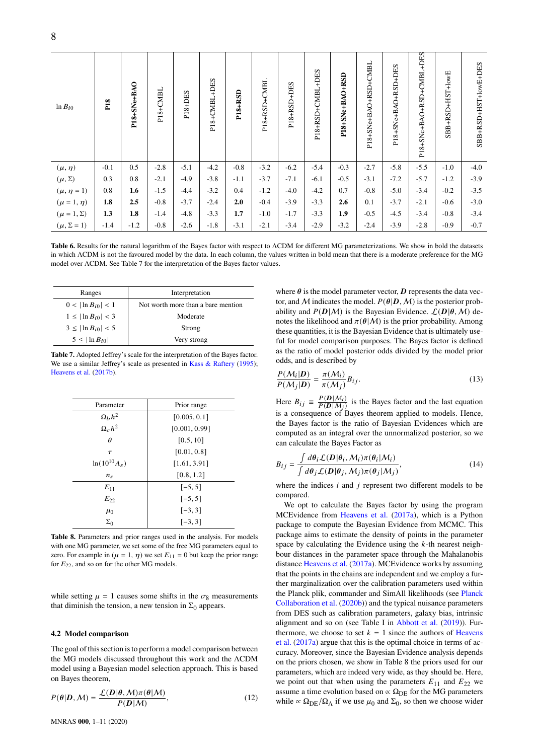| $ln B_{i0}$         | P <sub>18</sub> | P18+SNe+BAO | P18+CMBL | P18+DES | P18+CMBL+DES | <b>P18+RSD</b> | P18+RSD+CMBL | P18+RSD+DES | P18+RSD+CMBL+DES | P18+SNe+BAO+RSD | P18+SNe+BAO+RSD+CMBL | P18+SNe+BAO+RSD+DES | P18+SNe+BAO+RSD+CMBL+DES | SBB+RSD+HST+IowE | SBB+RSD+HST+lowE+DES |
|---------------------|-----------------|-------------|----------|---------|--------------|----------------|--------------|-------------|------------------|-----------------|----------------------|---------------------|--------------------------|------------------|----------------------|
| $(\mu, \eta)$       | $-0.1$          | 0.5         | $-2.8$   | $-5.1$  | $-4.2$       | $-0.8$         | $-3.2$       | $-6.2$      | $-5.4$           | $-0.3$          | $-2.7$               | $-5.8$              | $-5.5$                   | $-1.0$           | $-4.0$               |
| $(\mu, \Sigma)$     | 0.3             | 0.8         | $-2.1$   | $-4.9$  | $-3.8$       | $-1.1$         | $-3.7$       | $-7.1$      | $-6.1$           | $-0.5$          | $-3.1$               | $-7.2$              | $-5.7$                   | $-1.2$           | $-3.9$               |
| $(\mu, \eta = 1)$   | 0.8             | 1.6         | $-1.5$   | $-4.4$  | $-3.2$       | 0.4            | $-1.2$       | $-4.0$      | $-4.2$           | 0.7             | $-0.8$               | $-5.0$              | $-3.4$                   | $-0.2$           | $-3.5$               |
| $(\mu = 1, \eta)$   | 1.8             | 2.5         | $-0.8$   | $-3.7$  | $-2.4$       | 2.0            | $-0.4$       | $-3.9$      | $-3.3$           | 2.6             | 0.1                  | $-3.7$              | $-2.1$                   | $-0.6$           | $-3.0$               |
| $(\mu = 1, \Sigma)$ | 1.3             | 1.8         | $-1.4$   | $-4.8$  | $-3.3$       | 1.7            | $-1.0$       | $-1.7$      | $-3.3$           | 1.9             | $-0.5$               | $-4.5$              | $-3.4$                   | $-0.8$           | $-3.4$               |
| $(\mu, \Sigma = 1)$ | $-1.4$          | $-1.2$      | $-0.8$   | $-2.6$  | $-1.8$       | $-3.1$         | $-2.1$       | $-3.4$      | $-2.9$           | $-3.2$          | $-2.4$               | $-3.9$              | $-2.8$                   | $-0.9$           | $-0.7$               |

<span id="page-7-3"></span>**Table 6.** Results for the natural logarithm of the Bayes factor with respect to ΛCDM for different MG parameterizations. We show in bold the datasets in which ΛCDM is not the favoured model by the data. In each column, the values written in bold mean that there is a moderate preference for the MG model over ΛCDM. See Table [7](#page-7-2) for the interpretation of the Bayes factor values.

| Ranges                    | Interpretation                     |
|---------------------------|------------------------------------|
| $0 <  \ln B_{i0}  < 1$    | Not worth more than a bare mention |
| $1 \leq  \ln B_{i0}  < 3$ | Moderate                           |
| $3 \le  \ln B_{i0}  < 5$  | Strong                             |
| $5 \leq  \ln B_{i0} $     | Very strong                        |

**Table 7.** Adopted Jeffrey's scale for the interpretation of the Bayes factor. We use a similar Jeffrey's scale as presented in [Kass & Raftery](#page-9-60) [\(1995\)](#page-9-60); [Heavens et al.](#page-9-61) [\(2017b\)](#page-9-61).

| Parameter                           | Prior range   |
|-------------------------------------|---------------|
| $\frac{\Omega_b h^2}{\Omega_c h^2}$ | [0.005, 0.1]  |
|                                     | [0.001, 0.99] |
| $\theta$                            | [0.5, 10]     |
| $\tau$                              | [0.01, 0.8]   |
| $ln(10^{10}A_s)$                    | [1.61, 3.91]  |
| $n_{\rm s}$                         | [0.8, 1.2]    |
| $E_{11}$                            | $[-5, 5]$     |
| $E_{22}$                            | $[-5, 5]$     |
| $\mu_0$                             | $[-3, 3]$     |
| $\Sigma_0$                          | $[-3, 3]$     |

**Table 8.** Parameters and prior ranges used in the analysis. For models with one MG parameter, we set some of the free MG parameters equal to zero. For example in ( $\mu = 1$ ,  $\eta$ ) we set  $E_{11} = 0$  but keep the prior range for  $E_{22}$ , and so on for the other MG models.

while setting  $\mu = 1$  causes some shifts in the  $\sigma_8$  measurements that diminish the tension, a new tension in  $\Sigma_0$  appears.

#### <span id="page-7-1"></span>**4.2 Model comparison**

The goal of this section is to perform a model comparison between the MG models discussed throughout this work and the ΛCDM model using a Bayesian model selection approach. This is based on Bayes theorem,

$$
P(\theta|\mathbf{D}, \mathcal{M}) = \frac{\mathcal{L}(\mathbf{D}|\theta, \mathcal{M})\pi(\theta|\mathcal{M})}{P(\mathbf{D}|\mathcal{M})},
$$
\n(12)

<span id="page-7-2"></span>where  $\theta$  is the model parameter vector,  $\boldsymbol{D}$  represents the data vector, and M indicates the model.  $P(\theta|\mathbf{D},M)$  is the posterior probability and  $P(D|M)$  is the Bayesian Evidence.  $\mathcal{L}(D|\theta, M)$  denotes the likelihood and  $\pi(\theta|M)$  is the prior probability. Among these quantities, it is the Bayesian Evidence that is ultimately useful for model comparison purposes. The Bayes factor is defined as the ratio of model posterior odds divided by the model prior odds, and is described by

$$
\frac{P(M_i|D)}{P(M_j|D)} = \frac{\pi(M_i)}{\pi(M_j)} B_{ij}.
$$
\n(13)

Here  $B_{ij} \equiv \frac{P(D|M_i)}{P(D|M_i)}$  $\frac{F(D|N_i)}{F(D|N_i)}$  is the Bayes factor and the last equation is a consequence of Bayes theorem applied to models. Hence, the Bayes factor is the ratio of Bayesian Evidences which are computed as an integral over the unnormalized posterior, so we can calculate the Bayes Factor as

<span id="page-7-0"></span>
$$
B_{ij} = \frac{\int d\theta_i \mathcal{L}(D|\theta_i, \mathcal{M}_i) \pi(\theta_i|\mathcal{M}_i)}{\int d\theta_j \mathcal{L}(D|\theta_j, \mathcal{M}_j) \pi(\theta_j|\mathcal{M}_j)},
$$
(14)

where the indices  $i$  and  $j$  represent two different models to be compared.

We opt to calculate the Bayes factor by using the program MCEvidence from [Heavens et al.](#page-9-62) [\(2017a\)](#page-9-62), which is a Python package to compute the Bayesian Evidence from MCMC. This package aims to estimate the density of points in the parameter space by calculating the Evidence using the  $k$ -th nearest neighbour distances in the parameter space through the Mahalanobis distance [Heavens et al.](#page-9-62) [\(2017a\)](#page-9-62). MCEvidence works by assuming that the points in the chains are independent and we employ a further marginalization over the calibration parameters used within the Planck plik, commander and SimAll likelihoods (see [Planck](#page-9-39) [Collaboration et al.](#page-9-39) [\(2020b\)](#page-9-39)) and the typical nuisance parameters from DES such as calibration parameters, galaxy bias, intrinsic alignment and so on (see Table I in [Abbott et al.](#page-9-32) [\(2019\)](#page-9-32)). Furthermore, we choose to set  $k = 1$  since the authors of [Heavens](#page-9-62) [et al.](#page-9-62) [\(2017a\)](#page-9-62) argue that this is the optimal choice in terms of accuracy. Moreover, since the Bayesian Evidence analysis depends on the priors chosen, we show in Table [8](#page-7-0) the priors used for our parameters, which are indeed very wide, as they should be. Here, we point out that when using the parameters  $E_{11}$  and  $E_{22}$  we assume a time evolution based on  $\propto \Omega_{\rm DE}$  for the MG parameters while  $\propto \Omega_{\text{DE}}/\Omega_{\Lambda}$  if we use  $\mu_0$  and  $\Sigma_0$ , so then we choose wider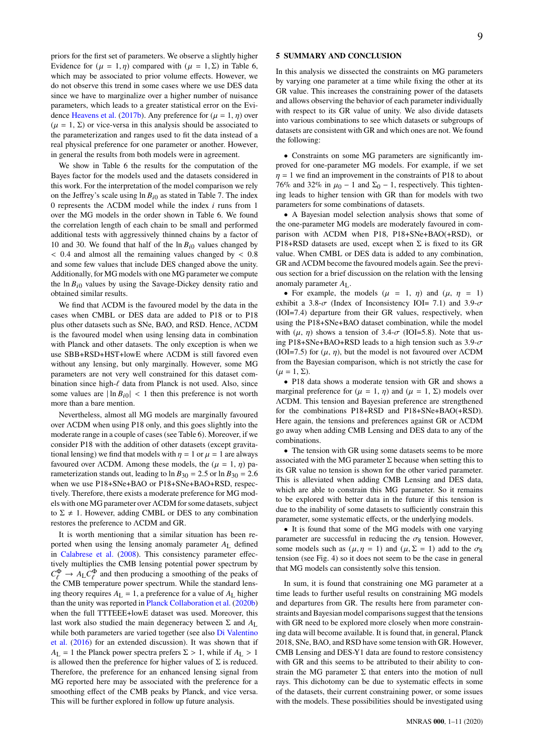priors for the first set of parameters. We observe a slightly higher Evidence for  $(\mu = 1, \eta)$  compared with  $(\mu = 1, \Sigma)$  in Table [6,](#page-7-3) which may be associated to prior volume effects. However, we do not observe this trend in some cases where we use DES data since we have to marginalize over a higher number of nuisance parameters, which leads to a greater statistical error on the Evi-dence [Heavens et al.](#page-9-61) [\(2017b\)](#page-9-61). Any preference for ( $\mu = 1, \eta$ ) over  $(\mu = 1, \Sigma)$  or vice-versa in this analysis should be associated to the parameterization and ranges used to fit the data instead of a real physical preference for one parameter or another. However, in general the results from both models were in agreement.

We show in Table [6](#page-7-3) the results for the computation of the Bayes factor for the models used and the datasets considered in this work. For the interpretation of the model comparison we rely on the Jeffrey's scale using  $\ln B_{i0}$  as stated in Table [7.](#page-7-2) The index 0 represents the  $\Lambda$ CDM model while the index *i* runs from 1 over the MG models in the order shown in Table [6.](#page-7-3) We found the correlation length of each chain to be small and performed additional tests with aggressively thinned chains by a factor of 10 and 30. We found that half of the  $\ln B_{i0}$  values changed by  $< 0.4$  and almost all the remaining values changed by  $< 0.8$ and some few values that include DES changed above the unity. Additionally, for MG models with one MG parameter we compute the  $\ln B_{i0}$  values by using the Savage-Dickey density ratio and obtained similar results.

We find that ΛCDM is the favoured model by the data in the cases when CMBL or DES data are added to P18 or to P18 plus other datasets such as SNe, BAO, and RSD. Hence, ΛCDM is the favoured model when using lensing data in combination with Planck and other datasets. The only exception is when we use SBB+RSD+HST+lowE where ΛCDM is still favored even without any lensing, but only marginally. However, some MG parameters are not very well constrained for this dataset combination since high- $\ell$  data from Planck is not used. Also, since some values are  $|\ln B_{i0}| < 1$  then this preference is not worth more than a bare mention.

Nevertheless, almost all MG models are marginally favoured over ΛCDM when using P18 only, and this goes slightly into the moderate range in a couple of cases (see Table [6\)](#page-7-3). Moreover, if we consider P18 with the addition of other datasets (except gravitational lensing) we find that models with  $\eta = 1$  or  $\mu = 1$  are always favoured over ΛCDM. Among these models, the ( $\mu = 1, \eta$ ) parameterization stands out, leading to  $\ln B_{30} = 2.5$  or  $\ln B_{30} = 2.6$ when we use P18+SNe+BAO or P18+SNe+BAO+RSD, respectively. Therefore, there exists a moderate preference for MG models with one MG parameter over ΛCDM for some datasets, subject to  $\Sigma \neq 1$ . However, adding CMBL or DES to any combination restores the preference to ΛCDM and GR.

It is worth mentioning that a similar situation has been reported when using the lensing anomaly parameter  $A_L$  defined in [Calabrese et al.](#page-9-63) [\(2008\)](#page-9-63). This consistency parameter effectively multiplies the CMB lensing potential power spectrum by  $C_{\ell}^{\Phi} \to A_{\rm L} C_{\ell}^{\Phi}$  and then producing a smoothing of the peaks of the CMB temperature power spectrum. While the standard lensing theory requires  $A_L = 1$ , a preference for a value of  $A_L$  higher than the unity was reported in [Planck Collaboration et al.](#page-9-39) [\(2020b\)](#page-9-39) when the full TTTEEE+lowE dataset was used. Moreover, this last work also studied the main degeneracy between  $\Sigma$  and  $A_L$ while both parameters are varied together (see also [Di Valentino](#page-9-64) [et al.](#page-9-64) [\(2016\)](#page-9-64) for an extended discussion). It was shown that if  $A_L = 1$  the Planck power spectra prefers  $\Sigma > 1$ , while if  $A_L > 1$ is allowed then the preference for higher values of  $\Sigma$  is reduced. Therefore, the preference for an enhanced lensing signal from MG reported here may be associated with the preference for a smoothing effect of the CMB peaks by Planck, and vice versa. This will be further explored in follow up future analysis.

## **5 SUMMARY AND CONCLUSION**

In this analysis we dissected the constraints on MG parameters by varying one parameter at a time while fixing the other at its GR value. This increases the constraining power of the datasets and allows observing the behavior of each parameter individually with respect to its GR value of unity. We also divide datasets into various combinations to see which datasets or subgroups of datasets are consistent with GR and which ones are not. We found the following:

• Constraints on some MG parameters are significantly improved for one-parameter MG models. For example, if we set  $\eta = 1$  we find an improvement in the constraints of P18 to about 76% and 32% in  $\mu_0$  − 1 and  $\Sigma_0$  − 1, respectively. This tightening leads to higher tension with GR than for models with two parameters for some combinations of datasets.

• A Bayesian model selection analysis shows that some of the one-parameter MG models are moderately favoured in comparison with ΛCDM when P18, P18+SNe+BAO(+RSD), or P18+RSD datasets are used, except when  $\Sigma$  is fixed to its GR value. When CMBL or DES data is added to any combination, GR and ΛCDM become the favoured models again. See the previous section for a brief discussion on the relation with the lensing anomaly parameter  $A_{\text{L}}$ .

• For example, the models  $(\mu = 1, \eta)$  and  $(\mu, \eta = 1)$ exhibit a 3.8- $\sigma$  (Index of Inconsistency IOI= 7.1) and 3.9- $\sigma$ (IOI=7.4) departure from their GR values, respectively, when using the P18+SNe+BAO dataset combination, while the model with  $(\mu, \eta)$  shows a tension of 3.4- $\sigma$  (IOI=5.8). Note that using P18+SNe+BAO+RSD leads to a high tension such as  $3.9-\sigma$ (IOI=7.5) for  $(\mu, \eta)$ , but the model is not favoured over ΛCDM from the Bayesian comparison, which is not strictly the case for  $(\mu = 1, \Sigma).$ 

• P18 data shows a moderate tension with GR and shows a marginal preference for  $(\mu = 1, \eta)$  and  $(\mu = 1, \Sigma)$  models over ΛCDM. This tension and Bayesian preference are strengthened for the combinations P18+RSD and P18+SNe+BAO(+RSD). Here again, the tensions and preferences against GR or ΛCDM go away when adding CMB Lensing and DES data to any of the combinations.

• The tension with GR using some datasets seems to be more associated with the MG parameter  $\Sigma$  because when setting this to its GR value no tension is shown for the other varied parameter. This is alleviated when adding CMB Lensing and DES data, which are able to constrain this MG parameter. So it remains to be explored with better data in the future if this tension is due to the inability of some datasets to sufficiently constrain this parameter, some systematic effects, or the underlying models.

• It is found that some of the MG models with one varying parameter are successful in reducing the  $\sigma_8$  tension. However, some models such as  $(\mu, \eta = 1)$  and  $(\mu, \Sigma = 1)$  add to the  $\sigma_8$ tension (see Fig. [4\)](#page-4-2) so it does not seem to be the case in general that MG models can consistently solve this tension.

In sum, it is found that constraining one MG parameter at a time leads to further useful results on constraining MG models and departures from GR. The results here from parameter constraints and Bayesian model comparisons suggest that the tensions with GR need to be explored more closely when more constraining data will become available. It is found that, in general, Planck 2018, SNe, BAO, and RSD have some tension with GR. However, CMB Lensing and DES-Y1 data are found to restore consistency with GR and this seems to be attributed to their ability to constrain the MG parameter  $\Sigma$  that enters into the motion of null rays. This dichotomy can be due to systematic effects in some of the datasets, their current constraining power, or some issues with the models. These possibilities should be investigated using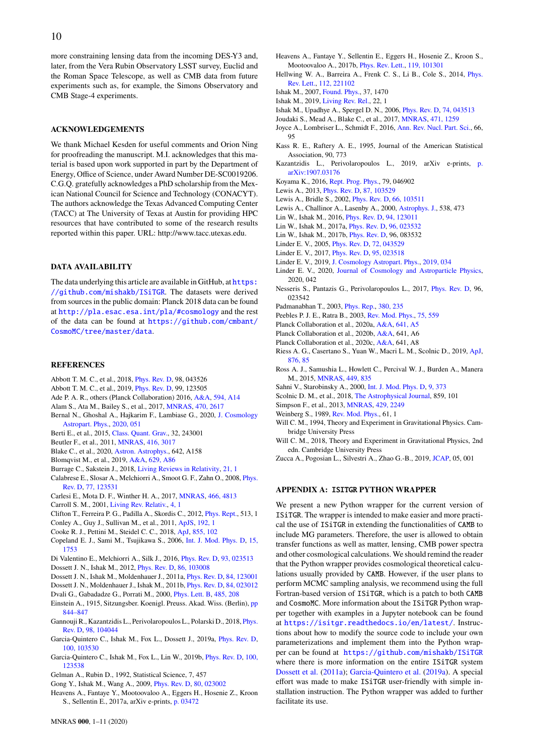more constraining lensing data from the incoming DES-Y3 and, later, from the Vera Rubin Observatory LSST survey, Euclid and the Roman Space Telescope, as well as CMB data from future experiments such as, for example, the Simons Observatory and CMB Stage-4 experiments.

## **ACKNOWLEDGEMENTS**

We thank Michael Kesden for useful comments and Orion Ning for proofreading the manuscript. M.I. acknowledges that this material is based upon work supported in part by the Department of Energy, Office of Science, under Award Number DE-SC0019206. C.G.Q. gratefully acknowledges a PhD scholarship from the Mexican National Council for Science and Technology (CONACYT). The authors acknowledge the Texas Advanced Computing Center (TACC) at The University of Texas at Austin for providing HPC resources that have contributed to some of the research results reported within this paper. URL: http://www.tacc.utexas.edu.

#### **DATA AVAILABILITY**

The data underlying this article are available in GitHub, at [https:](https://github.com/mishakb/ISiTGR) [//github.com/mishakb/ISiTGR](https://github.com/mishakb/ISiTGR). The datasets were derived from sources in the public domain: Planck 2018 data can be found at <http://pla.esac.esa.int/pla/#cosmology> and the rest of the data can be found at [https://github.com/cmbant/](https://github.com/cmbant/CosmoMC/tree/master/data) [CosmoMC/tree/master/data](https://github.com/cmbant/CosmoMC/tree/master/data).

#### **REFERENCES**

- <span id="page-9-48"></span>Abbott T. M. C., et al., 2018, [Phys. Rev. D,](http://dx.doi.org/10.1103/PhysRevD.98.043526) 98, 043526
- <span id="page-9-32"></span>Abbott T. M. C., et al., 2019, [Phys. Rev. D,](http://dx.doi.org/10.1103/PhysRevD.99.123505) 99, 123505
- <span id="page-9-31"></span>Ade P. A. R., others (Planck Collaboration) 2016, [A&A,](http://dx.doi.org/10.1051/0004-6361/201525814) [594, A14](http://adsabs.harvard.edu/abs/2016A&A...594A..14P)
- <span id="page-9-44"></span>Alam S., Ata M., Bailey S., et al., 2017, [MNRAS,](http://dx.doi.org/10.1093/mnras/stx721) [470, 2617](http://adsabs.harvard.edu/abs/2017MNRAS.470.2617A)
- <span id="page-9-30"></span>Bernal N., Ghoshal A., Hajkarim F., Lambiase G., 2020, [J. Cosmology](http://dx.doi.org/10.1088/1475-7516/2020/11/051) [Astropart. Phys.,](http://dx.doi.org/10.1088/1475-7516/2020/11/051) [2020, 051](https://ui.adsabs.harvard.edu/abs/2020JCAP...11..051B)
- <span id="page-9-3"></span>Berti E., et al., 2015, [Class. Quant. Grav.,](http://dx.doi.org/10.1088/0264-9381/32/24/243001) 32, 243001
- <span id="page-9-42"></span>Beutler F., et al., 2011, [MNRAS,](http://dx.doi.org/10.1111/j.1365-2966.2011.19250.x) [416, 3017](http://adsabs.harvard.edu/abs/2011MNRAS.416.3017B)
- <span id="page-9-24"></span>Blake C., et al., 2020, [Astron. Astrophys.,](http://dx.doi.org/10.1051/0004-6361/202038505) 642, A158
- <span id="page-9-45"></span>Blomqvist M., et al., 2019, [A&A,](http://dx.doi.org/10.1051/0004-6361/201935641) [629, A86](https://ui.adsabs.harvard.edu/abs/2019A&A...629A..86B)
- <span id="page-9-25"></span>Burrage C., Sakstein J., 2018, [Living Reviews in Relativity,](http://dx.doi.org/10.1007/s41114-018-0011-x) [21, 1](https://ui.adsabs.harvard.edu/#abs/2018LRR....21....1B)
- <span id="page-9-63"></span>Calabrese E., Slosar A., Melchiorri A., Smoot G. F., Zahn O., 2008, [Phys.](http://dx.doi.org/10.1103/PhysRevD.77.123531) [Rev. D,](http://dx.doi.org/10.1103/PhysRevD.77.123531) [77, 123531](http://adsabs.harvard.edu/abs/2008PhRvD..77l3531C)
- <span id="page-9-28"></span>Carlesi E., Mota D. F., Winther H. A., 2017, [MNRAS,](http://dx.doi.org/10.1093/mnras/stx056) [466, 4813](https://ui.adsabs.harvard.edu/abs/2017MNRAS.466.4813C)
- <span id="page-9-7"></span>Carroll S. M., 2001, [Living Rev. Relativ.,](http://dx.doi.org/10.12942/lrr-2001-1) [4, 1](http://adsabs.harvard.edu/abs/2001LRR.....4....1C)
- <span id="page-9-13"></span>Clifton T., Ferreira P. G., Padilla A., Skordis C., 2012, [Phys. Rept.,](http://dx.doi.org/10.1016/j.physrep.2012.01.001) 513, 1
- <span id="page-9-56"></span>Conley A., Guy J., Sullivan M., et al., 2011, [ApJS,](http://dx.doi.org/10.1088/0067-0049/192/1/1) [192, 1](http://adsabs.harvard.edu/abs/2011ApJS..192....1C)
- <span id="page-9-46"></span>Cooke R. J., Pettini M., Steidel C. C., 2018, [ApJ,](http://dx.doi.org/10.3847/1538-4357/aaab53) [855, 102](https://ui.adsabs.harvard.edu/abs/2018ApJ...855..102C)
- <span id="page-9-9"></span>Copeland E. J., Sami M., Tsujikawa S., 2006, [Int. J. Mod. Phys. D,](http://dx.doi.org/10.1142/S021827180600942X) [15,](http://adsabs.harvard.edu/abs/2006IJMPD..15.1753C) [1753](http://adsabs.harvard.edu/abs/2006IJMPD..15.1753C)
- <span id="page-9-64"></span><span id="page-9-18"></span>Di Valentino E., Melchiorri A., Silk J., 2016, [Phys. Rev. D,](http://dx.doi.org/10.1103/PhysRevD.93.023513) [93, 023513](http://adsabs.harvard.edu/abs/2016PhRvD..93b3513D) Dossett J. N., Ishak M., 2012, [Phys. Rev. D,](http://dx.doi.org/10.1103/PhysRevD.86.103008) [86, 103008](https://ui.adsabs.harvard.edu/abs/2012PhRvD..86j3008D)
- <span id="page-9-33"></span>Dossett J. N., Ishak M., Moldenhauer J., 2011a, [Phys. Rev. D,](http://dx.doi.org/10.1103/PhysRevD.84.123001) [84, 123001](http://adsabs.harvard.edu/abs/2011PhRvD..84l3001D)
- <span id="page-9-19"></span>Dossett J. N., Moldenhauer J., Ishak M., 2011b, [Phys. Rev. D,](http://dx.doi.org/10.1103/PhysRevD.84.023012) [84, 023012](https://ui.adsabs.harvard.edu/abs/2011PhRvD..84b3012D)
- <span id="page-9-26"></span>Dvali G., Gabadadze G., Porrati M., 2000, [Phys. Lett. B,](http://dx.doi.org/10.1016/S0370-2693(00)00669-9) [485, 208](http://adsabs.harvard.edu/abs/2000PhLB..485..208D)
- <span id="page-9-0"></span>Einstein A., 1915, Sitzungsber. Koenigl. Preuss. Akad. Wiss. (Berlin), [pp](http://adsabs.harvard.edu/abs/1915SPAW.......844E) [844–847](http://adsabs.harvard.edu/abs/1915SPAW.......844E)
- <span id="page-9-20"></span>Gannouji R., Kazantzidis L., Perivolaropoulos L., Polarski D., 2018, [Phys.](http://dx.doi.org/10.1103/PhysRevD.98.104044) [Rev. D,](http://dx.doi.org/10.1103/PhysRevD.98.104044) [98, 104044](https://ui.adsabs.harvard.edu/abs/2018PhRvD..98j4044G)
- <span id="page-9-34"></span>Garcia-Quintero C., Ishak M., Fox L., Dossett J., 2019a, [Phys. Rev. D,](http://dx.doi.org/10.1103/PhysRevD.100.103530) [100, 103530](https://ui.adsabs.harvard.edu/abs/2019PhRvD.100j3530G)
- <span id="page-9-54"></span>Garcia-Quintero C., Ishak M., Fox L., Lin W., 2019b, [Phys. Rev. D,](http://dx.doi.org/10.1103/PhysRevD.100.123538) [100,](https://ui.adsabs.harvard.edu/abs/2019PhRvD.100l3538G) [123538](https://ui.adsabs.harvard.edu/abs/2019PhRvD.100l3538G)
- <span id="page-9-58"></span>Gelman A., Rubin D., 1992, Statistical Science, 7, 457
- <span id="page-9-17"></span>Gong Y., Ishak M., Wang A., 2009, [Phys. Rev. D,](http://dx.doi.org/10.1103/PhysRevD.80.023002) [80, 023002](http://adsabs.harvard.edu/abs/2009PhRvD..80b3002G)
- <span id="page-9-62"></span>Heavens A., Fantaye Y., Mootoovaloo A., Eggers H., Hosenie Z., Kroon S., Sellentin E., 2017a, arXiv e-prints, [p. 03472](https://ui.adsabs.harvard.edu/abs/2017arXiv170403472H)
- <span id="page-9-61"></span>Heavens A., Fantaye Y., Sellentin E., Eggers H., Hosenie Z., Kroon S., Mootoovaloo A., 2017b, [Phys. Rev. Lett.,](http://dx.doi.org/10.1103/PhysRevLett.119.101301) [119, 101301](https://ui.adsabs.harvard.edu/abs/2017PhRvL.119j1301H)
- <span id="page-9-27"></span>Hellwing W. A., Barreira A., Frenk C. S., Li B., Cole S., 2014, [Phys.](http://dx.doi.org/10.1103/PhysRevLett.112.221102) [Rev. Lett.,](http://dx.doi.org/10.1103/PhysRevLett.112.221102) [112, 221102](https://ui.adsabs.harvard.edu/abs/2014PhRvL.112v1102H)
- <span id="page-9-10"></span>Ishak M., 2007, [Found. Phys.,](http://dx.doi.org/10.1007/s10701-007-9175-z) 37, 1470
- <span id="page-9-16"></span>Ishak M., 2019, [Living Rev. Rel.,](http://dx.doi.org/10.1007/s41114-018-0017-4) 22, 1
- <span id="page-9-12"></span>Ishak M., Upadhye A., Spergel D. N., 2006, [Phys. Rev. D,](http://dx.doi.org/10.1103/PhysRevD.74.043513) [74, 043513](http://adsabs.harvard.edu/abs/2006PhRvD..74d3513I)
- <span id="page-9-22"></span>Joudaki S., Mead A., Blake C., et al., 2017, [MNRAS,](http://dx.doi.org/10.1093/mnras/stx998) [471, 1259](http://adsabs.harvard.edu/abs/2017MNRAS.471.1259J)
- <span id="page-9-15"></span>Joyce A., Lombriser L., Schmidt F., 2016, [Ann. Rev. Nucl. Part. Sci.,](http://dx.doi.org/10.1146/annurev-nucl-102115-044553) 66, 95
- <span id="page-9-60"></span>Kass R. E., Raftery A. E., 1995, Journal of the American Statistical Association, 90, 773
- <span id="page-9-21"></span>Kazantzidis L., Perivolaropoulos L., 2019, arXiv e-prints, [p.](https://ui.adsabs.harvard.edu/abs/2019arXiv190703176K) [arXiv:1907.03176](https://ui.adsabs.harvard.edu/abs/2019arXiv190703176K)
- <span id="page-9-14"></span>Koyama K., 2016, [Rept. Prog. Phys.,](http://dx.doi.org/10.1088/0034-4885/79/4/046902) 79, 046902
- <span id="page-9-57"></span>Lewis A., 2013, [Phys. Rev. D,](http://dx.doi.org/10.1103/PhysRevD.87.103529) [87, 103529](https://ui.adsabs.harvard.edu/abs/2013PhRvD..87j3529L)
- <span id="page-9-35"></span>Lewis A., Bridle S., 2002, [Phys. Rev. D,](http://dx.doi.org/10.1103/PhysRevD.66.103511) [66, 103511](http://adsabs.harvard.edu/abs/2002PhRvD..66j3511L)
- <span id="page-9-36"></span>Lewis A., Challinor A., Lasenby A., 2000, [Astrophys. J.,](http://dx.doi.org/10.1086/309179) 538, 473
- <span id="page-9-29"></span>Lin W., Ishak M., 2016, [Phys. Rev. D,](http://dx.doi.org/10.1103/PhysRevD.94.123011) [94, 123011](http://adsabs.harvard.edu/abs/2016PhRvD..94l3011L)
- <span id="page-9-59"></span>Lin W., Ishak M., 2017a, [Phys. Rev. D,](http://dx.doi.org/10.1103/PhysRevD.96.023532) [96, 023532](https://ui.adsabs.harvard.edu/abs/2017PhRvD..96b3532L)
- <span id="page-9-53"></span>Lin W., Ishak M., 2017b, [Phys. Rev. D,](http://dx.doi.org/10.1103/PhysRevD.96.083532) 96, 083532
- <span id="page-9-11"></span>Linder E. V., 2005, [Phys. Rev. D,](http://dx.doi.org/10.1103/PhysRevD.72.043529) [72, 043529](http://adsabs.harvard.edu/abs/2005PhRvD..72d3529L)
- <span id="page-9-38"></span>Linder E. V., 2017, [Phys. Rev. D,](http://dx.doi.org/10.1103/PhysRevD.95.023518) [95, 023518](https://ui.adsabs.harvard.edu/abs/2017PhRvD..95b3518L)
- <span id="page-9-50"></span>Linder E. V., 2019, [J. Cosmology Astropart. Phys.,](http://dx.doi.org/10.1088/1475-7516/2019/07/034) [2019, 034](https://ui.adsabs.harvard.edu/abs/2019JCAP...07..034L)
- <span id="page-9-51"></span>Linder E. V., 2020, [Journal of Cosmology and Astroparticle Physics,](http://dx.doi.org/10.1088/1475-7516/2020/10/042) 2020, 042
- <span id="page-9-23"></span>Nesseris S., Pantazis G., Perivolaropoulos L., 2017, [Phys. Rev. D,](http://dx.doi.org/10.1103/PhysRevD.96.023542) 96, 023542
- <span id="page-9-5"></span>Padmanabhan T., 2003, [Phys. Rep.,](http://dx.doi.org/10.1016/S0370-1573(03)00120-0) [380, 235](http://adsabs.harvard.edu/abs/2003PhR...380..235P)
- <span id="page-9-8"></span>Peebles P. J. E., Ratra B., 2003, [Rev. Mod. Phys.,](http://dx.doi.org/10.1103/RevModPhys.75.559) [75, 559](http://adsabs.harvard.edu/abs/2003RvMP...75..559P)
- <span id="page-9-55"></span>Planck Collaboration et al., 2020a, [A&A,](http://dx.doi.org/10.1051/0004-6361/201936386) [641, A5](https://ui.adsabs.harvard.edu/abs/2020A&A...641A...5P)
- <span id="page-9-39"></span>Planck Collaboration et al., 2020b, [A&A,](http://dx.doi.org/10.1051/0004-6361/201833910) 641, A6
- <span id="page-9-40"></span>Planck Collaboration et al., 2020c, [A&A,](http://dx.doi.org/10.1051/0004-6361/201833886) 641, A8
- <span id="page-9-47"></span>Riess A. G., Casertano S., Yuan W., Macri L. M., Scolnic D., 2019, [ApJ,](http://dx.doi.org/10.3847/1538-4357/ab1422) [876, 85](https://ui.adsabs.harvard.edu/abs/2019ApJ...876...85R)
- <span id="page-9-43"></span>Ross A. J., Samushia L., Howlett C., Percival W. J., Burden A., Manera M., 2015, [MNRAS,](http://dx.doi.org/10.1093/mnras/stv154) [449, 835](http://adsabs.harvard.edu/abs/2015MNRAS.449..835R)
- <span id="page-9-6"></span>Sahni V., Starobinsky A., 2000, [Int. J. Mod. Phys. D,](http://dx.doi.org/10.1142/S0218271800000542) [9, 373](http://adsabs.harvard.edu/abs/2000IJMPD...9..373S)
- <span id="page-9-41"></span>Scolnic D. M., et al., 2018, [The Astrophysical Journal,](http://dx.doi.org/10.3847/1538-4357/aab9bb) 859, 101
- <span id="page-9-49"></span>Simpson F., et al., 2013, [MNRAS,](http://dx.doi.org/10.1093/mnras/sts493) [429, 2249](http://adsabs.harvard.edu/abs/2013MNRAS.429.2249S)
- <span id="page-9-4"></span>Weinberg S., 1989, [Rev. Mod. Phys.,](http://dx.doi.org/10.1103/RevModPhys.61.1) 61, 1
- <span id="page-9-1"></span>Will C. M., 1994, Theory and Experiment in Gravitational Physics. Cambridge University Press
- <span id="page-9-2"></span>Will C. M., 2018, Theory and Experiment in Gravitational Physics, 2nd edn. Cambridge University Press
- <span id="page-9-52"></span>Zucca A., Pogosian L., Silvestri A., Zhao G.-B., 2019, [JCAP,](http://dx.doi.org/10.1088/1475-7516/2019/05/001) 05, 001

## <span id="page-9-37"></span>**APPENDIX A:** ISITGR **PYTHON WRAPPER**

We present a new Python wrapper for the current version of ISiTGR. The wrapper is intended to make easier and more practical the use of ISiTGR in extending the functionalities of CAMB to include MG parameters. Therefore, the user is allowed to obtain transfer functions as well as matter, lensing, CMB power spectra and other cosmological calculations. We should remind the reader that the Python wrapper provides cosmological theoretical calculations usually provided by CAMB. However, if the user plans to perform MCMC sampling analysis, we recommend using the full Fortran-based version of ISiTGR, which is a patch to both CAMB and CosmoMC. More information about the ISiTGR Python wrapper together with examples in a Jupyter notebook can be found at <https://isitgr.readthedocs.io/en/latest/>. Instructions about how to modify the source code to include your own parameterizations and implement them into the Python wrapper can be found at <https://github.com/mishakb/ISiTGR> where there is more information on the entire ISiTGR system [Dossett et al.](#page-9-33) [\(2011a\)](#page-9-33); [Garcia-Quintero et al.](#page-9-34) [\(2019a\)](#page-9-34). A special effort was made to make ISiTGR user-friendly with simple installation instruction. The Python wrapper was added to further facilitate its use.